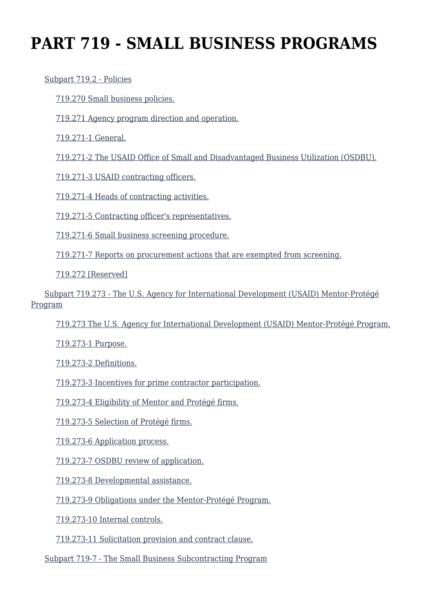# **PART 719 - SMALL BUSINESS PROGRAMS**

#### [Subpart 719.2 - Policies](https://origin-www.acquisition.gov/%5Brp:link:aidar-part-719%5D#Subpart_719_2_T48_5014161)

[719.270 Small business policies.](https://origin-www.acquisition.gov/%5Brp:link:aidar-part-719%5D#Section_719_270_T48_501416111)

[719.271 Agency program direction and operation.](https://origin-www.acquisition.gov/%5Brp:link:aidar-part-719%5D#Section_719_271_T48_501416112)

[719.271-1 General.](https://origin-www.acquisition.gov/%5Brp:link:aidar-part-719%5D#Section_719_271_1_T48_501416113)

[719.271-2 The USAID Office of Small and Disadvantaged Business Utilization \(OSDBU\).](https://origin-www.acquisition.gov/%5Brp:link:aidar-part-719%5D#Section_719_271_2_T48_501416114)

[719.271-3 USAID contracting officers.](https://origin-www.acquisition.gov/%5Brp:link:aidar-part-719%5D#Section_719_271_3_T48_501416115)

[719.271-4 Heads of contracting activities.](https://origin-www.acquisition.gov/%5Brp:link:aidar-part-719%5D#Section_719_271_4_T48_501416116)

[719.271-5 Contracting officer's representatives.](https://origin-www.acquisition.gov/%5Brp:link:aidar-part-719%5D#Section_719_271_5_T48_501416117)

[719.271-6 Small business screening procedure.](https://origin-www.acquisition.gov/%5Brp:link:aidar-part-719%5D#Section_719_271_6_T48_501416118)

[719.271-7 Reports on procurement actions that are exempted from screening.](https://origin-www.acquisition.gov/%5Brp:link:aidar-part-719%5D#Section_719_271_7_T48_501416119)

[719.272 \[Reserved\]](https://origin-www.acquisition.gov/%5Brp:link:aidar-part-719%5D#Section_719_272_T48_5014161110)

 [Subpart 719.273 - The U.S. Agency for International Development \(USAID\) Mentor-Protégé](https://origin-www.acquisition.gov/%5Brp:link:aidar-part-719%5D#Subpart_719_273_T48_5014162) [Program](https://origin-www.acquisition.gov/%5Brp:link:aidar-part-719%5D#Subpart_719_273_T48_5014162)

[719.273 The U.S. Agency for International Development \(USAID\) Mentor-Protégé Program.](https://origin-www.acquisition.gov/%5Brp:link:aidar-part-719%5D#Section_719_273_T48_501416211)

[719.273-1 Purpose.](https://origin-www.acquisition.gov/%5Brp:link:aidar-part-719%5D#Section_719_273_1_T48_501416212)

[719.273-2 Definitions.](https://origin-www.acquisition.gov/%5Brp:link:aidar-part-719%5D#Section_719_273_2_T48_501416213)

[719.273-3 Incentives for prime contractor participation.](https://origin-www.acquisition.gov/%5Brp:link:aidar-part-719%5D#Section_719_273_3_T48_501416214)

[719.273-4 Eligibility of Mentor and Protégé firms.](https://origin-www.acquisition.gov/%5Brp:link:aidar-part-719%5D#Section_719_273_4_T48_501416215)

[719.273-5 Selection of Protégé firms.](https://origin-www.acquisition.gov/%5Brp:link:aidar-part-719%5D#Section_719_273_5_T48_501416216)

[719.273-6 Application process.](https://origin-www.acquisition.gov/%5Brp:link:aidar-part-719%5D#Section_719_273_6_T48_501416217)

[719.273-7 OSDBU review of application.](https://origin-www.acquisition.gov/%5Brp:link:aidar-part-719%5D#Section_719_273_7_T48_501416218)

[719.273-8 Developmental assistance.](https://origin-www.acquisition.gov/%5Brp:link:aidar-part-719%5D#Section_719_273_8_T48_501416219)

[719.273-9 Obligations under the Mentor-Protégé Program.](https://origin-www.acquisition.gov/%5Brp:link:aidar-part-719%5D#Section_719_273_9_T48_5014162110)

[719.273-10 Internal controls.](https://origin-www.acquisition.gov/%5Brp:link:aidar-part-719%5D#Section_719_273_10_T48_5014162111)

[719.273-11 Solicitation provision and contract clause.](https://origin-www.acquisition.gov/%5Brp:link:aidar-part-719%5D#Section_719_273_11_T48_5014162112)

[Subpart 719-7 - The Small Business Subcontracting Program](https://origin-www.acquisition.gov/%5Brp:link:aidar-part-719%5D#Subpart_719_T48_5014163)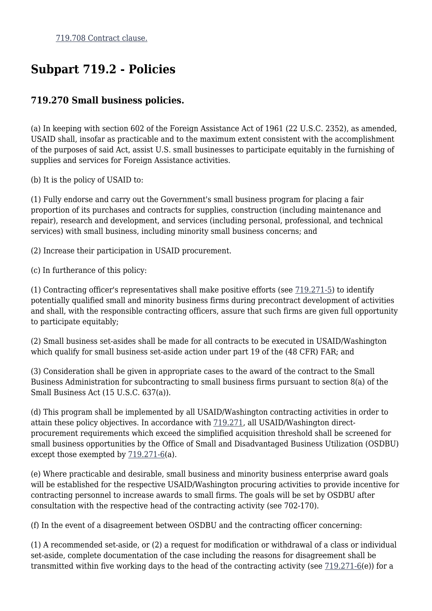## **Subpart 719.2 - Policies**

## **719.270 Small business policies.**

(a) In keeping with section 602 of the Foreign Assistance Act of 1961 (22 U.S.C. 2352), as amended, USAID shall, insofar as practicable and to the maximum extent consistent with the accomplishment of the purposes of said Act, assist U.S. small businesses to participate equitably in the furnishing of supplies and services for Foreign Assistance activities.

(b) It is the policy of USAID to:

(1) Fully endorse and carry out the Government's small business program for placing a fair proportion of its purchases and contracts for supplies, construction (including maintenance and repair), research and development, and services (including personal, professional, and technical services) with small business, including minority small business concerns; and

(2) Increase their participation in USAID procurement.

(c) In furtherance of this policy:

(1) Contracting officer's representatives shall make positive efforts (see [719.271-5](https://origin-www.acquisition.gov/%5Brp:link:aidar-part-719%5D#Section_719_271_5_T48_501416117)) to identify potentially qualified small and minority business firms during precontract development of activities and shall, with the responsible contracting officers, assure that such firms are given full opportunity to participate equitably;

(2) Small business set-asides shall be made for all contracts to be executed in USAID/Washington which qualify for small business set-aside action under part 19 of the (48 CFR) FAR; and

(3) Consideration shall be given in appropriate cases to the award of the contract to the Small Business Administration for subcontracting to small business firms pursuant to section 8(a) of the Small Business Act (15 U.S.C. 637(a)).

(d) This program shall be implemented by all USAID/Washington contracting activities in order to attain these policy objectives. In accordance with [719.271](https://origin-www.acquisition.gov/%5Brp:link:aidar-part-719%5D#Section_719_271_T48_501416112), all USAID/Washington directprocurement requirements which exceed the simplified acquisition threshold shall be screened for small business opportunities by the Office of Small and Disadvantaged Business Utilization (OSDBU) except those exempted by [719.271-6](https://origin-www.acquisition.gov/%5Brp:link:aidar-part-719%5D#Section_719_271_6_T48_501416118)(a).

(e) Where practicable and desirable, small business and minority business enterprise award goals will be established for the respective USAID/Washington procuring activities to provide incentive for contracting personnel to increase awards to small firms. The goals will be set by OSDBU after consultation with the respective head of the contracting activity (see 702-170).

(f) In the event of a disagreement between OSDBU and the contracting officer concerning:

(1) A recommended set-aside, or (2) a request for modification or withdrawal of a class or individual set-aside, complete documentation of the case including the reasons for disagreement shall be transmitted within five working days to the head of the contracting activity (see  $719.271-6(e)$  $719.271-6(e)$ ) for a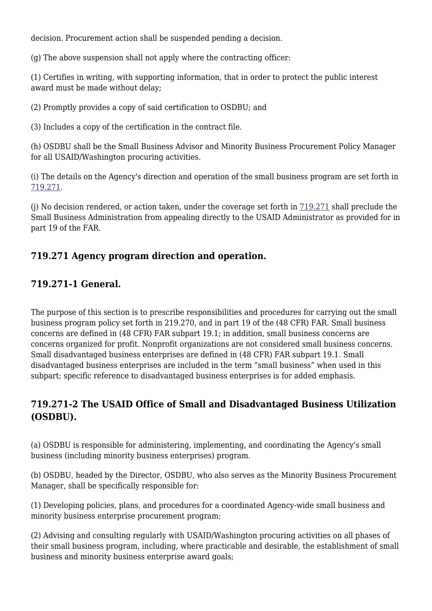decision. Procurement action shall be suspended pending a decision.

(g) The above suspension shall not apply where the contracting officer:

(1) Certifies in writing, with supporting information, that in order to protect the public interest award must be made without delay;

(2) Promptly provides a copy of said certification to OSDBU; and

(3) Includes a copy of the certification in the contract file.

(h) OSDBU shall be the Small Business Advisor and Minority Business Procurement Policy Manager for all USAID/Washington procuring activities.

(i) The details on the Agency's direction and operation of the small business program are set forth in [719.271](https://origin-www.acquisition.gov/%5Brp:link:aidar-part-719%5D#Section_719_271_T48_501416112).

(j) No decision rendered, or action taken, under the coverage set forth in [719.271](https://origin-www.acquisition.gov/%5Brp:link:aidar-part-719%5D#Section_719_271_T48_501416112) shall preclude the Small Business Administration from appealing directly to the USAID Administrator as provided for in part 19 of the FAR.

## **719.271 Agency program direction and operation.**

## **719.271-1 General.**

The purpose of this section is to prescribe responsibilities and procedures for carrying out the small business program policy set forth in 219.270, and in part 19 of the (48 CFR) FAR. Small business concerns are defined in (48 CFR) FAR subpart 19.1; in addition, small business concerns are concerns organized for profit. Nonprofit organizations are not considered small business concerns. Small disadvantaged business enterprises are defined in (48 CFR) FAR subpart 19.1. Small disadvantaged business enterprises are included in the term "small business" when used in this subpart; specific reference to disadvantaged business enterprises is for added emphasis.

## **719.271-2 The USAID Office of Small and Disadvantaged Business Utilization (OSDBU).**

(a) OSDBU is responsible for administering, implementing, and coordinating the Agency's small business (including minority business enterprises) program.

(b) OSDBU, headed by the Director, OSDBU, who also serves as the Minority Business Procurement Manager, shall be specifically responsible for:

(1) Developing policies, plans, and procedures for a coordinated Agency-wide small business and minority business enterprise procurement program;

(2) Advising and consulting regularly with USAID/Washington procuring activities on all phases of their small business program, including, where practicable and desirable, the establishment of small business and minority business enterprise award goals;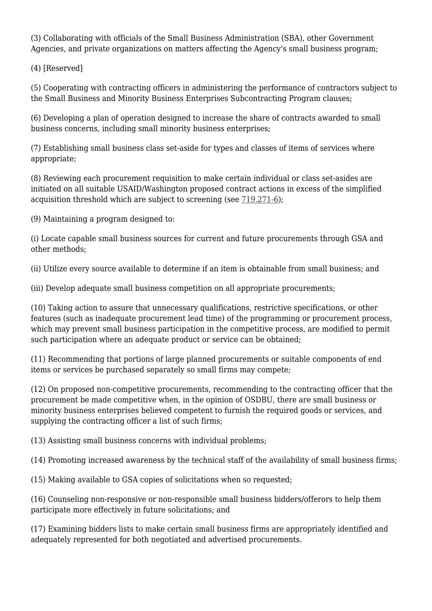(3) Collaborating with officials of the Small Business Administration (SBA), other Government Agencies, and private organizations on matters affecting the Agency's small business program;

(4) [Reserved]

(5) Cooperating with contracting officers in administering the performance of contractors subject to the Small Business and Minority Business Enterprises Subcontracting Program clauses;

(6) Developing a plan of operation designed to increase the share of contracts awarded to small business concerns, including small minority business enterprises;

(7) Establishing small business class set-aside for types and classes of items of services where appropriate;

(8) Reviewing each procurement requisition to make certain individual or class set-asides are initiated on all suitable USAID/Washington proposed contract actions in excess of the simplified acquisition threshold which are subject to screening (see [719.271-6\)](https://origin-www.acquisition.gov/%5Brp:link:aidar-part-719%5D#Section_719_271_6_T48_501416118);

(9) Maintaining a program designed to:

(i) Locate capable small business sources for current and future procurements through GSA and other methods;

(ii) Utilize every source available to determine if an item is obtainable from small business; and

(iii) Develop adequate small business competition on all appropriate procurements;

(10) Taking action to assure that unnecessary qualifications, restrictive specifications, or other features (such as inadequate procurement lead time) of the programming or procurement process, which may prevent small business participation in the competitive process, are modified to permit such participation where an adequate product or service can be obtained;

(11) Recommending that portions of large planned procurements or suitable components of end items or services be purchased separately so small firms may compete;

(12) On proposed non-competitive procurements, recommending to the contracting officer that the procurement be made competitive when, in the opinion of OSDBU, there are small business or minority business enterprises believed competent to furnish the required goods or services, and supplying the contracting officer a list of such firms;

(13) Assisting small business concerns with individual problems;

(14) Promoting increased awareness by the technical staff of the availability of small business firms;

(15) Making available to GSA copies of solicitations when so requested;

(16) Counseling non-responsive or non-responsible small business bidders/offerors to help them participate more effectively in future solicitations; and

(17) Examining bidders lists to make certain small business firms are appropriately identified and adequately represented for both negotiated and advertised procurements.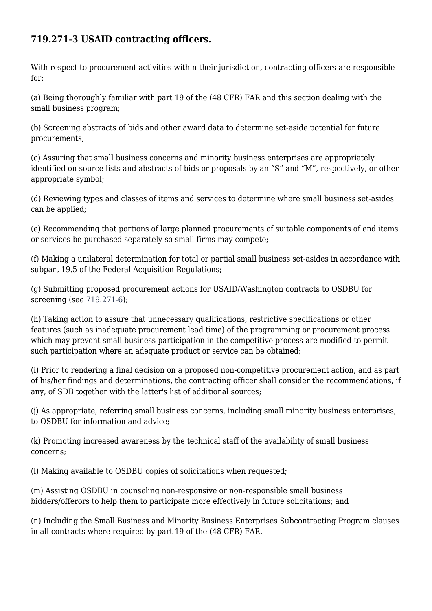## **719.271-3 USAID contracting officers.**

With respect to procurement activities within their jurisdiction, contracting officers are responsible for:

(a) Being thoroughly familiar with part 19 of the (48 CFR) FAR and this section dealing with the small business program;

(b) Screening abstracts of bids and other award data to determine set-aside potential for future procurements;

(c) Assuring that small business concerns and minority business enterprises are appropriately identified on source lists and abstracts of bids or proposals by an "S" and "M", respectively, or other appropriate symbol;

(d) Reviewing types and classes of items and services to determine where small business set-asides can be applied;

(e) Recommending that portions of large planned procurements of suitable components of end items or services be purchased separately so small firms may compete;

(f) Making a unilateral determination for total or partial small business set-asides in accordance with subpart 19.5 of the Federal Acquisition Regulations;

(g) Submitting proposed procurement actions for USAID/Washington contracts to OSDBU for screening (see [719.271-6](https://origin-www.acquisition.gov/%5Brp:link:aidar-part-719%5D#Section_719_271_6_T48_501416118));

(h) Taking action to assure that unnecessary qualifications, restrictive specifications or other features (such as inadequate procurement lead time) of the programming or procurement process which may prevent small business participation in the competitive process are modified to permit such participation where an adequate product or service can be obtained;

(i) Prior to rendering a final decision on a proposed non-competitive procurement action, and as part of his/her findings and determinations, the contracting officer shall consider the recommendations, if any, of SDB together with the latter's list of additional sources;

(j) As appropriate, referring small business concerns, including small minority business enterprises, to OSDBU for information and advice;

(k) Promoting increased awareness by the technical staff of the availability of small business concerns;

(l) Making available to OSDBU copies of solicitations when requested;

(m) Assisting OSDBU in counseling non-responsive or non-responsible small business bidders/offerors to help them to participate more effectively in future solicitations; and

(n) Including the Small Business and Minority Business Enterprises Subcontracting Program clauses in all contracts where required by part 19 of the (48 CFR) FAR.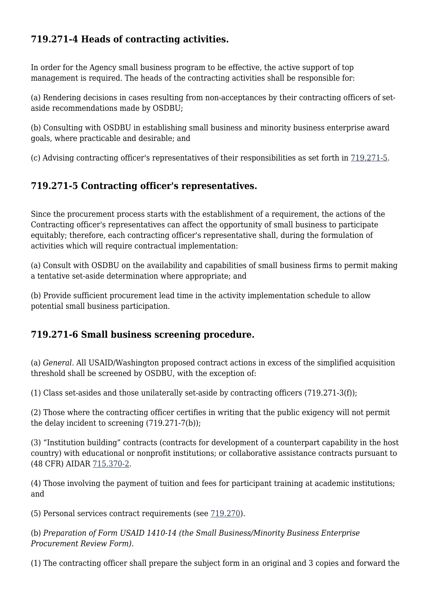## **719.271-4 Heads of contracting activities.**

In order for the Agency small business program to be effective, the active support of top management is required. The heads of the contracting activities shall be responsible for:

(a) Rendering decisions in cases resulting from non-acceptances by their contracting officers of setaside recommendations made by OSDBU;

(b) Consulting with OSDBU in establishing small business and minority business enterprise award goals, where practicable and desirable; and

(c) Advising contracting officer's representatives of their responsibilities as set forth in [719.271-5](https://origin-www.acquisition.gov/%5Brp:link:aidar-part-719%5D#Section_719_271_5_T48_501416117).

## **719.271-5 Contracting officer's representatives.**

Since the procurement process starts with the establishment of a requirement, the actions of the Contracting officer's representatives can affect the opportunity of small business to participate equitably; therefore, each contracting officer's representative shall, during the formulation of activities which will require contractual implementation:

(a) Consult with OSDBU on the availability and capabilities of small business firms to permit making a tentative set-aside determination where appropriate; and

(b) Provide sufficient procurement lead time in the activity implementation schedule to allow potential small business participation.

## **719.271-6 Small business screening procedure.**

(a) *General.* All USAID/Washington proposed contract actions in excess of the simplified acquisition threshold shall be screened by OSDBU, with the exception of:

(1) Class set-asides and those unilaterally set-aside by contracting officers (719.271-3(f));

(2) Those where the contracting officer certifies in writing that the public exigency will not permit the delay incident to screening (719.271-7(b));

(3) "Institution building" contracts (contracts for development of a counterpart capability in the host country) with educational or nonprofit institutions; or collaborative assistance contracts pursuant to (48 CFR) AIDAR [715.370-2](https://origin-www.acquisition.gov/%5Brp:link:aidar-part-715%5D#Section_715_370_2_T48_501313116).

(4) Those involving the payment of tuition and fees for participant training at academic institutions; and

(5) Personal services contract requirements (see [719.270](https://origin-www.acquisition.gov/%5Brp:link:aidar-part-719%5D#Section_719_270_T48_501416111)).

(b) *Preparation of Form USAID 1410-14 (the Small Business/Minority Business Enterprise Procurement Review Form).*

(1) The contracting officer shall prepare the subject form in an original and 3 copies and forward the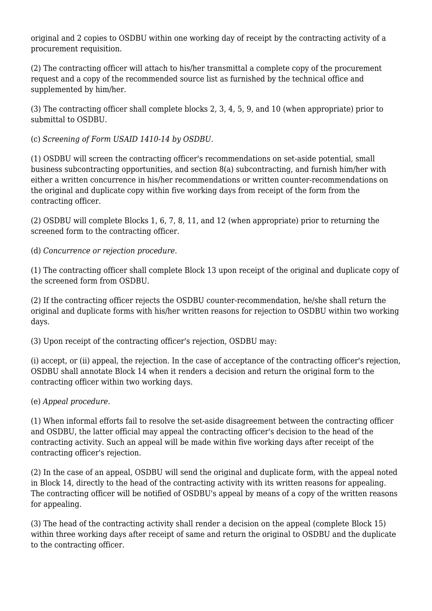original and 2 copies to OSDBU within one working day of receipt by the contracting activity of a procurement requisition.

(2) The contracting officer will attach to his/her transmittal a complete copy of the procurement request and a copy of the recommended source list as furnished by the technical office and supplemented by him/her.

(3) The contracting officer shall complete blocks 2, 3, 4, 5, 9, and 10 (when appropriate) prior to submittal to OSDBU.

(c) *Screening of Form USAID 1410-14 by OSDBU.*

(1) OSDBU will screen the contracting officer's recommendations on set-aside potential, small business subcontracting opportunities, and section 8(a) subcontracting, and furnish him/her with either a written concurrence in his/her recommendations or written counter-recommendations on the original and duplicate copy within five working days from receipt of the form from the contracting officer.

(2) OSDBU will complete Blocks 1, 6, 7, 8, 11, and 12 (when appropriate) prior to returning the screened form to the contracting officer.

(d) *Concurrence or rejection procedure.*

(1) The contracting officer shall complete Block 13 upon receipt of the original and duplicate copy of the screened form from OSDBU.

(2) If the contracting officer rejects the OSDBU counter-recommendation, he/she shall return the original and duplicate forms with his/her written reasons for rejection to OSDBU within two working days.

(3) Upon receipt of the contracting officer's rejection, OSDBU may:

(i) accept, or (ii) appeal, the rejection. In the case of acceptance of the contracting officer's rejection, OSDBU shall annotate Block 14 when it renders a decision and return the original form to the contracting officer within two working days.

(e) *Appeal procedure.*

(1) When informal efforts fail to resolve the set-aside disagreement between the contracting officer and OSDBU, the latter official may appeal the contracting officer's decision to the head of the contracting activity. Such an appeal will be made within five working days after receipt of the contracting officer's rejection.

(2) In the case of an appeal, OSDBU will send the original and duplicate form, with the appeal noted in Block 14, directly to the head of the contracting activity with its written reasons for appealing. The contracting officer will be notified of OSDBU's appeal by means of a copy of the written reasons for appealing.

(3) The head of the contracting activity shall render a decision on the appeal (complete Block 15) within three working days after receipt of same and return the original to OSDBU and the duplicate to the contracting officer.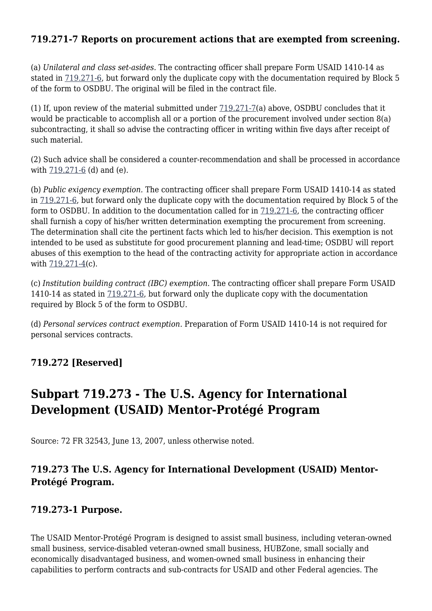### **719.271-7 Reports on procurement actions that are exempted from screening.**

(a) *Unilateral and class set-asides.* The contracting officer shall prepare Form USAID 1410-14 as stated in [719.271-6,](https://origin-www.acquisition.gov/%5Brp:link:aidar-part-719%5D#Section_719_271_6_T48_501416118) but forward only the duplicate copy with the documentation required by Block 5 of the form to OSDBU. The original will be filed in the contract file.

(1) If, upon review of the material submitted under [719.271-7\(](https://origin-www.acquisition.gov/%5Brp:link:aidar-part-719%5D#Section_719_271_7_T48_501416119)a) above, OSDBU concludes that it would be practicable to accomplish all or a portion of the procurement involved under section 8(a) subcontracting, it shall so advise the contracting officer in writing within five days after receipt of such material.

(2) Such advice shall be considered a counter-recommendation and shall be processed in accordance with [719.271-6](https://origin-www.acquisition.gov/%5Brp:link:aidar-part-719%5D#Section_719_271_6_T48_501416118) (d) and (e).

(b) *Public exigency exemption.* The contracting officer shall prepare Form USAID 1410-14 as stated in [719.271-6,](https://origin-www.acquisition.gov/%5Brp:link:aidar-part-719%5D#Section_719_271_6_T48_501416118) but forward only the duplicate copy with the documentation required by Block 5 of the form to OSDBU. In addition to the documentation called for in [719.271-6,](https://origin-www.acquisition.gov/%5Brp:link:aidar-part-719%5D#Section_719_271_6_T48_501416118) the contracting officer shall furnish a copy of his/her written determination exempting the procurement from screening. The determination shall cite the pertinent facts which led to his/her decision. This exemption is not intended to be used as substitute for good procurement planning and lead-time; OSDBU will report abuses of this exemption to the head of the contracting activity for appropriate action in accordance with [719.271-4](https://origin-www.acquisition.gov/%5Brp:link:aidar-part-719%5D#Section_719_271_4_T48_501416116)(c).

(c) *Institution building contract (IBC) exemption.* The contracting officer shall prepare Form USAID 1410-14 as stated in [719.271-6](https://origin-www.acquisition.gov/%5Brp:link:aidar-part-719%5D#Section_719_271_6_T48_501416118), but forward only the duplicate copy with the documentation required by Block 5 of the form to OSDBU.

(d) *Personal services contract exemption.* Preparation of Form USAID 1410-14 is not required for personal services contracts.

## **719.272 [Reserved]**

## **Subpart 719.273 - The U.S. Agency for International Development (USAID) Mentor-Protégé Program**

Source: 72 FR 32543, June 13, 2007, unless otherwise noted.

## **719.273 The U.S. Agency for International Development (USAID) Mentor-Protégé Program.**

#### **719.273-1 Purpose.**

The USAID Mentor-Protégé Program is designed to assist small business, including veteran-owned small business, service-disabled veteran-owned small business, HUBZone, small socially and economically disadvantaged business, and women-owned small business in enhancing their capabilities to perform contracts and sub-contracts for USAID and other Federal agencies. The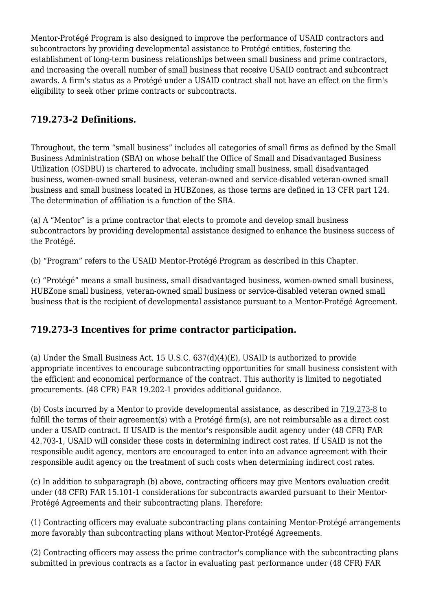Mentor-Protégé Program is also designed to improve the performance of USAID contractors and subcontractors by providing developmental assistance to Protégé entities, fostering the establishment of long-term business relationships between small business and prime contractors, and increasing the overall number of small business that receive USAID contract and subcontract awards. A firm's status as a Protégé under a USAID contract shall not have an effect on the firm's eligibility to seek other prime contracts or subcontracts.

## **719.273-2 Definitions.**

Throughout, the term "small business" includes all categories of small firms as defined by the Small Business Administration (SBA) on whose behalf the Office of Small and Disadvantaged Business Utilization (OSDBU) is chartered to advocate, including small business, small disadvantaged business, women-owned small business, veteran-owned and service-disabled veteran-owned small business and small business located in HUBZones, as those terms are defined in 13 CFR part 124. The determination of affiliation is a function of the SBA.

(a) A "Mentor" is a prime contractor that elects to promote and develop small business subcontractors by providing developmental assistance designed to enhance the business success of the Protégé.

(b) "Program" refers to the USAID Mentor-Protégé Program as described in this Chapter.

(c) "Protégé" means a small business, small disadvantaged business, women-owned small business, HUBZone small business, veteran-owned small business or service-disabled veteran owned small business that is the recipient of developmental assistance pursuant to a Mentor-Protégé Agreement.

## **719.273-3 Incentives for prime contractor participation.**

(a) Under the Small Business Act, 15 U.S.C. 637(d)(4)(E), USAID is authorized to provide appropriate incentives to encourage subcontracting opportunities for small business consistent with the efficient and economical performance of the contract. This authority is limited to negotiated procurements. (48 CFR) FAR 19.202-1 provides additional guidance.

(b) Costs incurred by a Mentor to provide developmental assistance, as described in [719.273-8](https://origin-www.acquisition.gov/%5Brp:link:aidar-part-719%5D#Section_719_273_8_T48_501416219) to fulfill the terms of their agreement(s) with a Protégé firm(s), are not reimbursable as a direct cost under a USAID contract. If USAID is the mentor's responsible audit agency under (48 CFR) FAR 42.703-1, USAID will consider these costs in determining indirect cost rates. If USAID is not the responsible audit agency, mentors are encouraged to enter into an advance agreement with their responsible audit agency on the treatment of such costs when determining indirect cost rates.

(c) In addition to subparagraph (b) above, contracting officers may give Mentors evaluation credit under (48 CFR) FAR 15.101-1 considerations for subcontracts awarded pursuant to their Mentor-Protégé Agreements and their subcontracting plans. Therefore:

(1) Contracting officers may evaluate subcontracting plans containing Mentor-Protégé arrangements more favorably than subcontracting plans without Mentor-Protégé Agreements.

(2) Contracting officers may assess the prime contractor's compliance with the subcontracting plans submitted in previous contracts as a factor in evaluating past performance under (48 CFR) FAR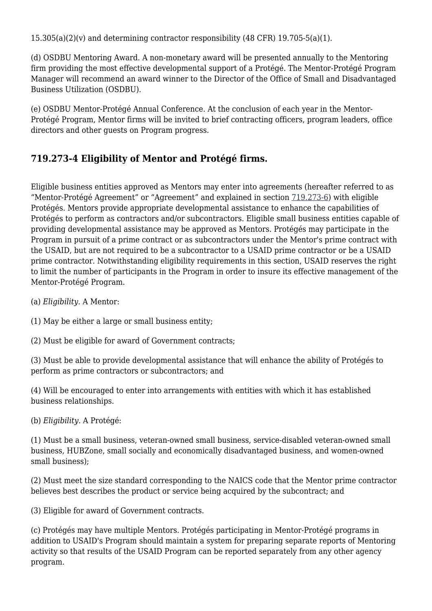15.305(a)(2)(v) and determining contractor responsibility (48 CFR) 19.705-5(a)(1).

(d) OSDBU Mentoring Award. A non-monetary award will be presented annually to the Mentoring firm providing the most effective developmental support of a Protégé. The Mentor-Protégé Program Manager will recommend an award winner to the Director of the Office of Small and Disadvantaged Business Utilization (OSDBU).

(e) OSDBU Mentor-Protégé Annual Conference. At the conclusion of each year in the Mentor-Protégé Program, Mentor firms will be invited to brief contracting officers, program leaders, office directors and other guests on Program progress.

## **719.273-4 Eligibility of Mentor and Protégé firms.**

Eligible business entities approved as Mentors may enter into agreements (hereafter referred to as "Mentor-Protégé Agreement" or "Agreement" and explained in section [719.273-6\)](https://origin-www.acquisition.gov/%5Brp:link:aidar-part-719%5D#Section_719_273_6_T48_501416217) with eligible Protégés. Mentors provide appropriate developmental assistance to enhance the capabilities of Protégés to perform as contractors and/or subcontractors. Eligible small business entities capable of providing developmental assistance may be approved as Mentors. Protégés may participate in the Program in pursuit of a prime contract or as subcontractors under the Mentor's prime contract with the USAID, but are not required to be a subcontractor to a USAID prime contractor or be a USAID prime contractor. Notwithstanding eligibility requirements in this section, USAID reserves the right to limit the number of participants in the Program in order to insure its effective management of the Mentor-Protégé Program.

- (a) *Eligibility.* A Mentor:
- (1) May be either a large or small business entity;
- (2) Must be eligible for award of Government contracts;

(3) Must be able to provide developmental assistance that will enhance the ability of Protégés to perform as prime contractors or subcontractors; and

(4) Will be encouraged to enter into arrangements with entities with which it has established business relationships.

(b) *Eligibility.* A Protégé:

(1) Must be a small business, veteran-owned small business, service-disabled veteran-owned small business, HUBZone, small socially and economically disadvantaged business, and women-owned small business);

(2) Must meet the size standard corresponding to the NAICS code that the Mentor prime contractor believes best describes the product or service being acquired by the subcontract; and

(3) Eligible for award of Government contracts.

(c) Protégés may have multiple Mentors. Protégés participating in Mentor-Protégé programs in addition to USAID's Program should maintain a system for preparing separate reports of Mentoring activity so that results of the USAID Program can be reported separately from any other agency program.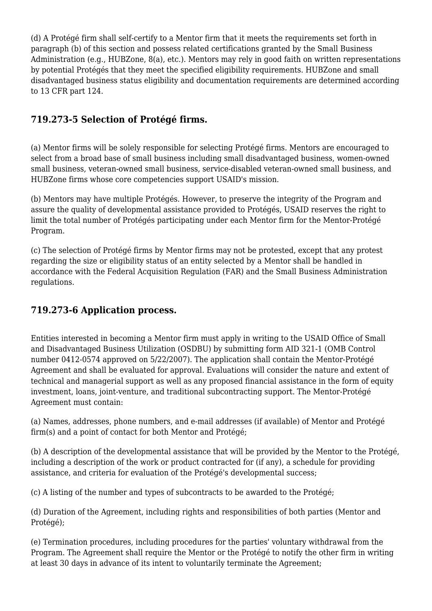(d) A Protégé firm shall self-certify to a Mentor firm that it meets the requirements set forth in paragraph (b) of this section and possess related certifications granted by the Small Business Administration (e.g., HUBZone, 8(a), etc.). Mentors may rely in good faith on written representations by potential Protégés that they meet the specified eligibility requirements. HUBZone and small disadvantaged business status eligibility and documentation requirements are determined according to 13 CFR part 124.

## **719.273-5 Selection of Protégé firms.**

(a) Mentor firms will be solely responsible for selecting Protégé firms. Mentors are encouraged to select from a broad base of small business including small disadvantaged business, women-owned small business, veteran-owned small business, service-disabled veteran-owned small business, and HUBZone firms whose core competencies support USAID's mission.

(b) Mentors may have multiple Protégés. However, to preserve the integrity of the Program and assure the quality of developmental assistance provided to Protégés, USAID reserves the right to limit the total number of Protégés participating under each Mentor firm for the Mentor-Protégé Program.

(c) The selection of Protégé firms by Mentor firms may not be protested, except that any protest regarding the size or eligibility status of an entity selected by a Mentor shall be handled in accordance with the Federal Acquisition Regulation (FAR) and the Small Business Administration regulations.

## **719.273-6 Application process.**

Entities interested in becoming a Mentor firm must apply in writing to the USAID Office of Small and Disadvantaged Business Utilization (OSDBU) by submitting form AID 321-1 (OMB Control number 0412-0574 approved on 5/22/2007). The application shall contain the Mentor-Protégé Agreement and shall be evaluated for approval. Evaluations will consider the nature and extent of technical and managerial support as well as any proposed financial assistance in the form of equity investment, loans, joint-venture, and traditional subcontracting support. The Mentor-Protégé Agreement must contain:

(a) Names, addresses, phone numbers, and e-mail addresses (if available) of Mentor and Protégé firm(s) and a point of contact for both Mentor and Protégé;

(b) A description of the developmental assistance that will be provided by the Mentor to the Protégé, including a description of the work or product contracted for (if any), a schedule for providing assistance, and criteria for evaluation of the Protégé's developmental success;

(c) A listing of the number and types of subcontracts to be awarded to the Protégé;

(d) Duration of the Agreement, including rights and responsibilities of both parties (Mentor and Protégé);

(e) Termination procedures, including procedures for the parties' voluntary withdrawal from the Program. The Agreement shall require the Mentor or the Protégé to notify the other firm in writing at least 30 days in advance of its intent to voluntarily terminate the Agreement;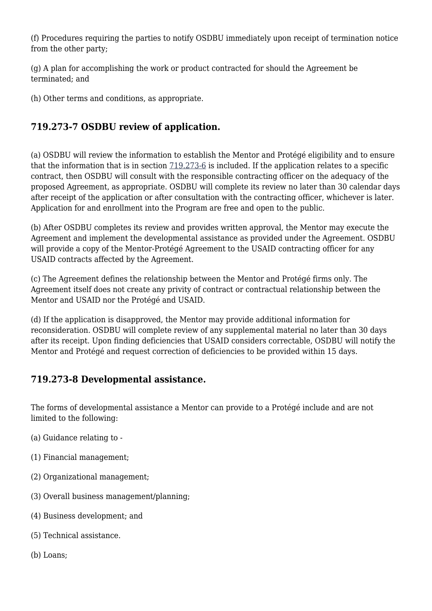(f) Procedures requiring the parties to notify OSDBU immediately upon receipt of termination notice from the other party;

(g) A plan for accomplishing the work or product contracted for should the Agreement be terminated; and

(h) Other terms and conditions, as appropriate.

## **719.273-7 OSDBU review of application.**

(a) OSDBU will review the information to establish the Mentor and Protégé eligibility and to ensure that the information that is in section  $719.273-6$  is included. If the application relates to a specific contract, then OSDBU will consult with the responsible contracting officer on the adequacy of the proposed Agreement, as appropriate. OSDBU will complete its review no later than 30 calendar days after receipt of the application or after consultation with the contracting officer, whichever is later. Application for and enrollment into the Program are free and open to the public.

(b) After OSDBU completes its review and provides written approval, the Mentor may execute the Agreement and implement the developmental assistance as provided under the Agreement. OSDBU will provide a copy of the Mentor-Protégé Agreement to the USAID contracting officer for any USAID contracts affected by the Agreement.

(c) The Agreement defines the relationship between the Mentor and Protégé firms only. The Agreement itself does not create any privity of contract or contractual relationship between the Mentor and USAID nor the Protégé and USAID.

(d) If the application is disapproved, the Mentor may provide additional information for reconsideration. OSDBU will complete review of any supplemental material no later than 30 days after its receipt. Upon finding deficiencies that USAID considers correctable, OSDBU will notify the Mentor and Protégé and request correction of deficiencies to be provided within 15 days.

## **719.273-8 Developmental assistance.**

The forms of developmental assistance a Mentor can provide to a Protégé include and are not limited to the following:

- (a) Guidance relating to -
- (1) Financial management;
- (2) Organizational management;
- (3) Overall business management/planning;
- (4) Business development; and
- (5) Technical assistance.
- (b) Loans;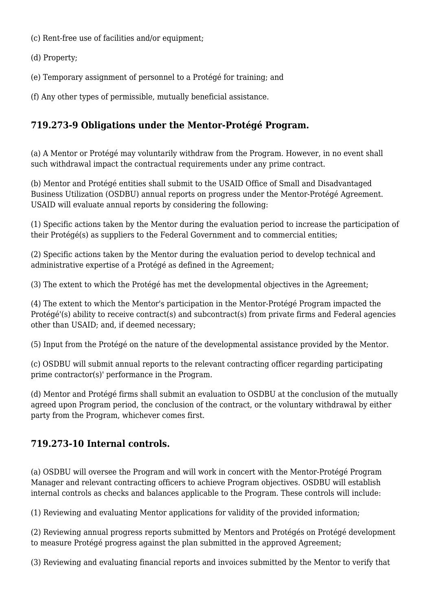(c) Rent-free use of facilities and/or equipment;

(d) Property;

(e) Temporary assignment of personnel to a Protégé for training; and

(f) Any other types of permissible, mutually beneficial assistance.

## **719.273-9 Obligations under the Mentor-Protégé Program.**

(a) A Mentor or Protégé may voluntarily withdraw from the Program. However, in no event shall such withdrawal impact the contractual requirements under any prime contract.

(b) Mentor and Protégé entities shall submit to the USAID Office of Small and Disadvantaged Business Utilization (OSDBU) annual reports on progress under the Mentor-Protégé Agreement. USAID will evaluate annual reports by considering the following:

(1) Specific actions taken by the Mentor during the evaluation period to increase the participation of their Protégé(s) as suppliers to the Federal Government and to commercial entities;

(2) Specific actions taken by the Mentor during the evaluation period to develop technical and administrative expertise of a Protégé as defined in the Agreement;

(3) The extent to which the Protégé has met the developmental objectives in the Agreement;

(4) The extent to which the Mentor's participation in the Mentor-Protégé Program impacted the Protégé'(s) ability to receive contract(s) and subcontract(s) from private firms and Federal agencies other than USAID; and, if deemed necessary;

(5) Input from the Protégé on the nature of the developmental assistance provided by the Mentor.

(c) OSDBU will submit annual reports to the relevant contracting officer regarding participating prime contractor(s)' performance in the Program.

(d) Mentor and Protégé firms shall submit an evaluation to OSDBU at the conclusion of the mutually agreed upon Program period, the conclusion of the contract, or the voluntary withdrawal by either party from the Program, whichever comes first.

## **719.273-10 Internal controls.**

(a) OSDBU will oversee the Program and will work in concert with the Mentor-Protégé Program Manager and relevant contracting officers to achieve Program objectives. OSDBU will establish internal controls as checks and balances applicable to the Program. These controls will include:

(1) Reviewing and evaluating Mentor applications for validity of the provided information;

(2) Reviewing annual progress reports submitted by Mentors and Protégés on Protégé development to measure Protégé progress against the plan submitted in the approved Agreement;

(3) Reviewing and evaluating financial reports and invoices submitted by the Mentor to verify that